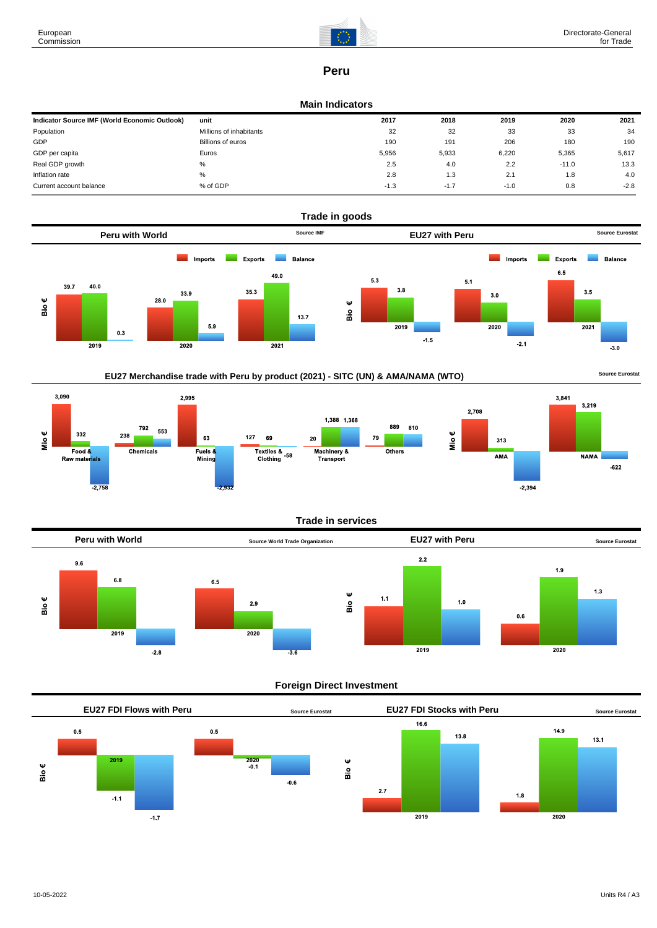

# **Peru**

### **Main Indicators**

| Indicator Source IMF (World Economic Outlook) | unit                    | 2017   | 2018   | 2019   | 2020    | 2021   |
|-----------------------------------------------|-------------------------|--------|--------|--------|---------|--------|
| Population                                    | Millions of inhabitants | 32     | 32     | 33     | 33      | 34     |
| GDP                                           | Billions of euros       | 190    | 191    | 206    | 180     | 190    |
| GDP per capita                                | Euros                   | 5,956  | 5,933  | 6,220  | 5,365   | 5,617  |
| Real GDP growth                               | %                       | 2.5    | 4.0    | 2.2    | $-11.0$ | 13.3   |
| Inflation rate                                | %                       | 2.8    | 1.3    | 2.1    | 1.8     | 4.0    |
| Current account balance                       | % of GDP                | $-1.3$ | $-1.7$ | $-1.0$ | 0.8     | $-2.8$ |



## EU27 Merchandise trade with Peru by product (2021) - SITC (UN) & AMA/NAMA (WTO) **Source Eurostat**



### **Trade in services**



### **Foreign Direct Investment**